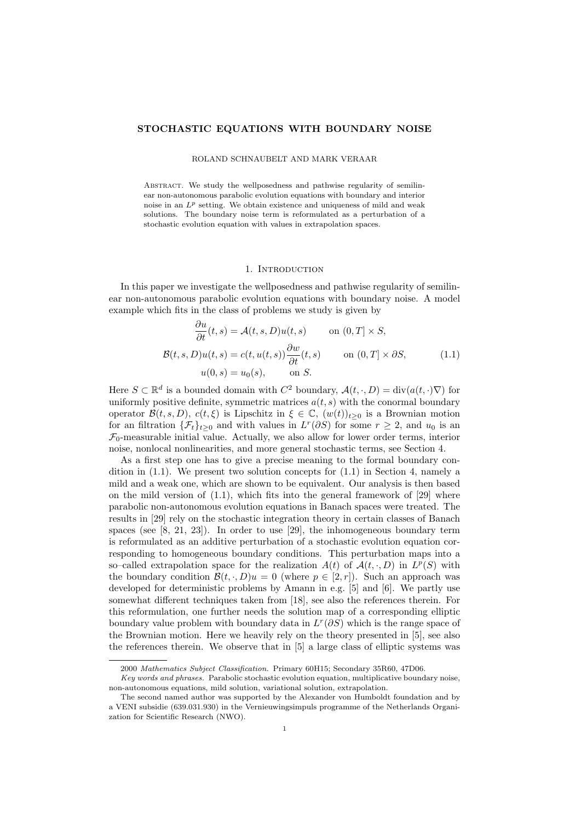# STOCHASTIC EQUATIONS WITH BOUNDARY NOISE

### ROLAND SCHNAUBELT AND MARK VERAAR

ABSTRACT. We study the wellposedness and pathwise regularity of semilinear non-autonomous parabolic evolution equations with boundary and interior noise in an  $L^p$  setting. We obtain existence and uniqueness of mild and weak solutions. The boundary noise term is reformulated as a perturbation of a stochastic evolution equation with values in extrapolation spaces.

#### 1. INTRODUCTION

In this paper we investigate the wellposedness and pathwise regularity of semilinear non-autonomous parabolic evolution equations with boundary noise. A model example which fits in the class of problems we study is given by

∂u

$$
\frac{\partial u}{\partial t}(t,s) = \mathcal{A}(t,s,D)u(t,s) \quad \text{on } (0,T] \times S,
$$
  

$$
\mathcal{B}(t,s,D)u(t,s) = c(t,u(t,s))\frac{\partial w}{\partial t}(t,s) \quad \text{on } (0,T] \times \partial S,
$$
  

$$
u(0,s) = u_0(s), \quad \text{on } S.
$$
 (1.1)

Here  $S \subset \mathbb{R}^d$  is a bounded domain with  $C^2$  boundary,  $\mathcal{A}(t, \cdot, D) = \text{div}(a(t, \cdot) \nabla)$  for uniformly positive definite, symmetric matrices  $a(t, s)$  with the conormal boundary operator  $\mathcal{B}(t, s, D)$ ,  $c(t, \xi)$  is Lipschitz in  $\xi \in \mathbb{C}$ ,  $(w(t))_{t>0}$  is a Brownian motion for an filtration  $\{\mathcal{F}_t\}_{t\geq 0}$  and with values in  $L^r(\partial S)$  for some  $r \geq 2$ , and  $u_0$  is an  $\mathcal{F}_0$ -measurable initial value. Actually, we also allow for lower order terms, interior noise, nonlocal nonlinearities, and more general stochastic terms, see Section 4.

As a first step one has to give a precise meaning to the formal boundary condition in  $(1.1)$ . We present two solution concepts for  $(1.1)$  in Section 4, namely a mild and a weak one, which are shown to be equivalent. Our analysis is then based on the mild version of  $(1.1)$ , which fits into the general framework of  $[29]$  where parabolic non-autonomous evolution equations in Banach spaces were treated. The results in [29] rely on the stochastic integration theory in certain classes of Banach spaces (see [8, 21, 23]). In order to use [29], the inhomogeneous boundary term is reformulated as an additive perturbation of a stochastic evolution equation corresponding to homogeneous boundary conditions. This perturbation maps into a so–called extrapolation space for the realization  $A(t)$  of  $A(t, \cdot, D)$  in  $L^p(S)$  with the boundary condition  $\mathcal{B}(t, \cdot, D)u = 0$  (where  $p \in [2, r]$ ). Such an approach was developed for deterministic problems by Amann in e.g. [5] and [6]. We partly use somewhat different techniques taken from [18], see also the references therein. For this reformulation, one further needs the solution map of a corresponding elliptic boundary value problem with boundary data in  $L^r(\partial S)$  which is the range space of the Brownian motion. Here we heavily rely on the theory presented in [5], see also the references therein. We observe that in [5] a large class of elliptic systems was

<sup>2000</sup> Mathematics Subject Classification. Primary 60H15; Secondary 35R60, 47D06.

Key words and phrases. Parabolic stochastic evolution equation, multiplicative boundary noise, non-autonomous equations, mild solution, variational solution, extrapolation.

The second named author was supported by the Alexander von Humboldt foundation and by a VENI subsidie (639.031.930) in the Vernieuwingsimpuls programme of the Netherlands Organization for Scientific Research (NWO).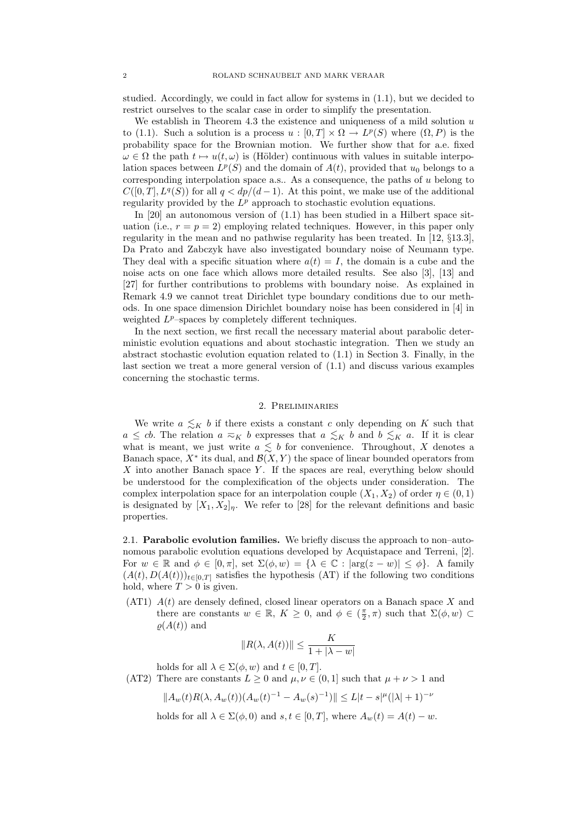studied. Accordingly, we could in fact allow for systems in (1.1), but we decided to restrict ourselves to the scalar case in order to simplify the presentation.

We establish in Theorem 4.3 the existence and uniqueness of a mild solution  $u$ to (1.1). Such a solution is a process  $u : [0, T] \times \Omega \to L^p(S)$  where  $(\Omega, P)$  is the probability space for the Brownian motion. We further show that for a.e. fixed  $\omega \in \Omega$  the path  $t \mapsto u(t, \omega)$  is (Hölder) continuous with values in suitable interpolation spaces between  $L^p(S)$  and the domain of  $A(t)$ , provided that  $u_0$  belongs to a corresponding interpolation space a.s.. As a consequence, the paths of  $u$  belong to  $C([0,T], L^q(S))$  for all  $q < dp/(d-1)$ . At this point, we make use of the additional regularity provided by the  $L^p$  approach to stochastic evolution equations.

In [20] an autonomous version of (1.1) has been studied in a Hilbert space situation (i.e.,  $r = p = 2$ ) employing related techniques. However, in this paper only regularity in the mean and no pathwise regularity has been treated. In [12, §13.3], Da Prato and Zabczyk have also investigated boundary noise of Neumann type. They deal with a specific situation where  $a(t) = I$ , the domain is a cube and the noise acts on one face which allows more detailed results. See also [3], [13] and [27] for further contributions to problems with boundary noise. As explained in Remark 4.9 we cannot treat Dirichlet type boundary conditions due to our methods. In one space dimension Dirichlet boundary noise has been considered in [4] in weighted  $L^p$ -spaces by completely different techniques.

In the next section, we first recall the necessary material about parabolic deterministic evolution equations and about stochastic integration. Then we study an abstract stochastic evolution equation related to (1.1) in Section 3. Finally, in the last section we treat a more general version of (1.1) and discuss various examples concerning the stochastic terms.

## 2. Preliminaries

We write  $a \leq_K b$  if there exists a constant c only depending on K such that  $a \leq cb$ . The relation  $a \approx_K b$  expresses that  $a \leq_K b$  and  $b \leq_K a$ . If it is clear what is meant, we just write  $a \leq b$  for convenience. Throughout, X denotes a Banach space,  $X^*$  its dual, and  $\mathcal{B}(X, Y)$  the space of linear bounded operators from  $X$  into another Banach space  $Y$ . If the spaces are real, everything below should be understood for the complexification of the objects under consideration. The complex interpolation space for an interpolation couple  $(X_1, X_2)$  of order  $\eta \in (0, 1)$ is designated by  $[X_1, X_2]_p$ . We refer to [28] for the relevant definitions and basic properties.

2.1. Parabolic evolution families. We briefly discuss the approach to non–autonomous parabolic evolution equations developed by Acquistapace and Terreni, [2]. For  $w \in \mathbb{R}$  and  $\phi \in [0, \pi]$ , set  $\Sigma(\phi, w) = {\lambda \in \mathbb{C} : |\arg(z - w)| \leq \phi}$ . A family  $(A(t), D(A(t)))_{t\in[0,T]}$  satisfies the hypothesis (AT) if the following two conditions hold, where  $T > 0$  is given.

(AT1)  $A(t)$  are densely defined, closed linear operators on a Banach space X and there are constants  $w \in \mathbb{R}$ ,  $K \geq 0$ , and  $\phi \in (\frac{\pi}{2}, \pi)$  such that  $\Sigma(\phi, w)$  $\rho(A(t))$  and

$$
||R(\lambda, A(t))|| \le \frac{K}{1 + |\lambda - w|}
$$

holds for all  $\lambda \in \Sigma(\phi, w)$  and  $t \in [0, T]$ .

(AT2) There are constants  $L \geq 0$  and  $\mu, \nu \in (0, 1]$  such that  $\mu + \nu > 1$  and

$$
||A_w(t)R(\lambda,A_w(t))(A_w(t)^{-1}-A_w(s)^{-1})|| \leq L|t-s|^{\mu}(|\lambda|+1)^{-\nu}
$$

holds for all  $\lambda \in \Sigma(\phi, 0)$  and  $s, t \in [0, T]$ , where  $A_w(t) = A(t) - w$ .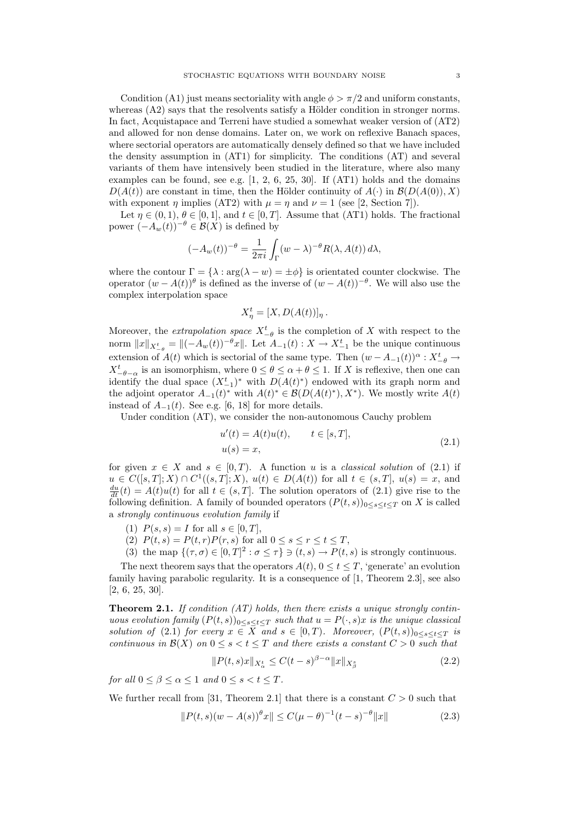Condition (A1) just means sectoriality with angle  $\phi > \pi/2$  and uniform constants, whereas  $(A2)$  says that the resolvents satisfy a Hölder condition in stronger norms. In fact, Acquistapace and Terreni have studied a somewhat weaker version of (AT2) and allowed for non dense domains. Later on, we work on reflexive Banach spaces, where sectorial operators are automatically densely defined so that we have included the density assumption in (AT1) for simplicity. The conditions (AT) and several variants of them have intensively been studied in the literature, where also many examples can be found, see e.g.  $[1, 2, 6, 25, 30]$ . If  $(AT1)$  holds and the domains  $D(A(t))$  are constant in time, then the Hölder continuity of  $A(\cdot)$  in  $\mathcal{B}(D(A(0)), X)$ with exponent  $\eta$  implies (AT2) with  $\mu = \eta$  and  $\nu = 1$  (see [2, Section 7]).

Let  $\eta \in (0,1), \theta \in [0,1],$  and  $t \in [0,T]$ . Assume that (AT1) holds. The fractional power  $(-A_w(t))^{-\theta} \in \mathcal{B}(X)$  is defined by

$$
(-A_w(t))^{-\theta} = \frac{1}{2\pi i} \int_{\Gamma} (w - \lambda)^{-\theta} R(\lambda, A(t)) d\lambda,
$$

where the contour  $\Gamma = {\lambda : \arg(\lambda - w) = \pm \phi}$  is orientated counter clockwise. The operator  $(w - A(t))^{\theta}$  is defined as the inverse of  $(w - A(t))^{-\theta}$ . We will also use the complex interpolation space

$$
X_{\eta}^{t} = [X, D(A(t))]_{\eta}.
$$

Moreover, the *extrapolation space*  $X_{-\theta}^t$  is the completion of X with respect to the norm  $||x||_{X_{-\theta}^t} = ||(-A_w(t))^{-\theta}x||$ . Let  $A_{-1}(t) : X \to X_{-1}^t$  be the unique continuous extension of  $A(t)$  which is sectorial of the same type. Then  $(w - A_{-1}(t))^{\alpha} : X^t_{-\theta} \to$  $X_{-\theta-\alpha}^t$  is an isomorphism, where  $0 \le \theta \le \alpha+\theta \le 1$ . If X is reflexive, then one can identify the dual space  $(X_{-1}^t)^*$  with  $D(A(t)^*)$  endowed with its graph norm and the adjoint operator  $A_{-1}(t)^*$  with  $A(t)^* \in \mathcal{B}(D(A(t)^*), X^*)$ . We mostly write  $A(t)$ instead of  $A_{-1}(t)$ . See e.g. [6, 18] for more details.

Under condition (AT), we consider the non-autonomous Cauchy problem

$$
u'(t) = A(t)u(t), \t t \in [s, T],
$$
  
 
$$
u(s) = x,
$$
 (2.1)

for given  $x \in X$  and  $s \in [0, T)$ . A function u is a *classical solution* of (2.1) if  $u \in C([s,T];X) \cap C^{1}((s,T];X), u(t) \in D(A(t))$  for all  $t \in (s,T], u(s) = x$ , and  $\frac{du}{dt}(t) = A(t)u(t)$  for all  $t \in (s,T]$ . The solution operators of (2.1) give rise to the following definition. A family of bounded operators  $(P(t, s))_{0 \leq s \leq t \leq T}$  on X is called a strongly continuous evolution family if

- (1)  $P(s, s) = I$  for all  $s \in [0, T]$ ,
- (2)  $P(t,s) = P(t,r)P(r,s)$  for all  $0 \leq s \leq r \leq t \leq T$ ,
- (3) the map  $\{(\tau,\sigma)\in[0,T]^2:\sigma\leq\tau\}\ni(t,s)\to P(t,s)$  is strongly continuous.

The next theorem says that the operators  $A(t)$ ,  $0 \le t \le T$ , 'generate' an evolution family having parabolic regularity. It is a consequence of [1, Theorem 2.3], see also [2, 6, 25, 30].

**Theorem 2.1.** If condition  $(AT)$  holds, then there exists a unique strongly continuous evolution family  $(P(t, s))_{0 \le s \le t \le T}$  such that  $u = P(\cdot, s)x$  is the unique classical solution of (2.1) for every  $x \in X$  and  $s \in [0,T)$ . Moreover,  $(P(t, s))_{0 \leq s \leq t \leq T}$  is continuous in  $\mathcal{B}(X)$  on  $0 \leq s < t \leq T$  and there exists a constant  $C > 0$  such that

$$
||P(t,s)x||_{X_{\alpha}^t} \le C(t-s)^{\beta-\alpha}||x||_{X_{\beta}^s}
$$
\n(2.2)

for all  $0 \leq \beta \leq \alpha \leq 1$  and  $0 \leq s < t \leq T$ .

We further recall from [31, Theorem 2.1] that there is a constant  $C > 0$  such that

$$
||P(t,s)(w - A(s))^{\theta}x|| \le C(\mu - \theta)^{-1}(t-s)^{-\theta}||x|| \tag{2.3}
$$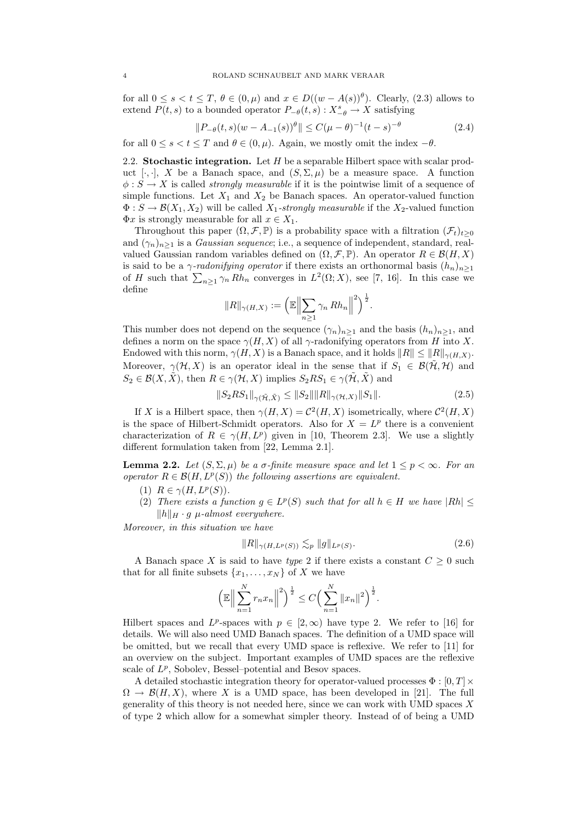for all  $0 \le s < t \le T$ ,  $\theta \in (0, \mu)$  and  $x \in D((w - A(s))^{\theta})$ . Clearly, (2.3) allows to extend  $P(t, s)$  to a bounded operator  $P_{-\theta}(t, s) : X^s_{-\theta} \to X$  satisfying

$$
||P_{-\theta}(t,s)(w - A_{-1}(s))^{\theta}|| \le C(\mu - \theta)^{-1}(t-s)^{-\theta}
$$
\n(2.4)

for all  $0 \le s < t \le T$  and  $\theta \in (0, \mu)$ . Again, we mostly omit the index  $-\theta$ .

2.2. Stochastic integration. Let  $H$  be a separable Hilbert space with scalar product [ $\cdot$ , ], X be a Banach space, and  $(S, \Sigma, \mu)$  be a measure space. A function  $\phi: S \to X$  is called *strongly measurable* if it is the pointwise limit of a sequence of simple functions. Let  $X_1$  and  $X_2$  be Banach spaces. An operator-valued function  $\Phi: S \to \mathcal{B}(X_1, X_2)$  will be called  $X_1$ -strongly measurable if the  $X_2$ -valued function  $\Phi x$  is strongly measurable for all  $x \in X_1$ .

Throughout this paper  $(\Omega, \mathcal{F}, \mathbb{P})$  is a probability space with a filtration  $(\mathcal{F}_t)_{t\geq 0}$ and  $(\gamma_n)_{n>1}$  is a *Gaussian sequence*; i.e., a sequence of independent, standard, realvalued Gaussian random variables defined on  $(\Omega, \mathcal{F}, \mathbb{P})$ . An operator  $R \in \mathcal{B}(H, X)$ is said to be a *γ-radonifying operator* if there exists an orthonormal basis  $(h_n)_{n\geq 1}$ of H such that  $\sum_{n\geq 1}\gamma_n Rh_n$  converges in  $L^2(\Omega;X)$ , see [7, 16]. In this case we define

$$
||R||_{\gamma(H,X)} := \left( \mathbb{E} \left\| \sum_{n\geq 1} \gamma_n Rh_n \right\|^2 \right)^{\frac{1}{2}}.
$$

This number does not depend on the sequence  $(\gamma_n)_{n>1}$  and the basis  $(h_n)_{n>1}$ , and defines a norm on the space  $\gamma(H, X)$  of all  $\gamma$ -radonifying operators from H into X. Endowed with this norm,  $\gamma(H, X)$  is a Banach space, and it holds  $||R|| \le ||R||_{\gamma(H, X)}$ . Moreover,  $\gamma(\mathcal{H}, X)$  is an operator ideal in the sense that if  $S_1 \in \mathcal{B}(\tilde{\mathcal{H}}, \mathcal{H})$  and  $S_2 \in \mathcal{B}(X, \tilde{X})$ , then  $R \in \gamma(\mathcal{H}, X)$  implies  $S_2RS_1 \in \gamma(\tilde{\mathcal{H}}, \tilde{X})$  and

$$
||S_2RS_1||_{\gamma(\tilde{\mathcal{H}}, \tilde{X})} \le ||S_2|| ||R||_{\gamma(\mathcal{H}, X)} ||S_1||. \tag{2.5}
$$

If X is a Hilbert space, then  $\gamma(H, X) = C^2(H, X)$  isometrically, where  $C^2(H, X)$ is the space of Hilbert-Schmidt operators. Also for  $X = L^p$  there is a convenient characterization of  $R \in \gamma(H, L^p)$  given in [10, Theorem 2.3]. We use a slightly different formulation taken from [22, Lemma 2.1].

**Lemma 2.2.** Let  $(S, \Sigma, \mu)$  be a  $\sigma$ -finite measure space and let  $1 \leq p \leq \infty$ . For an operator  $R \in \mathcal{B}(H, L^p(S))$  the following assertions are equivalent.

- (1)  $R \in \gamma(H, L^p(S)).$
- (2) There exists a function  $g \in L^p(S)$  such that for all  $h \in H$  we have  $|Rh| \leq$  $||h||_H \cdot g$  µ-almost everywhere.

Moreover, in this situation we have

$$
||R||_{\gamma(H, L^p(S))} \lesssim_p ||g||_{L^p(S)}.
$$
\n(2.6)

A Banach space X is said to have type 2 if there exists a constant  $C \geq 0$  such that for all finite subsets  $\{x_1, \ldots, x_N\}$  of X we have

$$
\left(\mathbb{E}\Big\|\sum_{n=1}^N r_n x_n\Big\|^2\right)^{\frac{1}{2}} \leq C\Big(\sum_{n=1}^N \|x_n\|^2\Big)^{\frac{1}{2}}.
$$

Hilbert spaces and L<sup>p</sup>-spaces with  $p \in [2, \infty)$  have type 2. We refer to [16] for details. We will also need UMD Banach spaces. The definition of a UMD space will be omitted, but we recall that every UMD space is reflexive. We refer to [11] for an overview on the subject. Important examples of UMD spaces are the reflexive scale of  $L^p$ , Sobolev, Bessel-potential and Besov spaces.

A detailed stochastic integration theory for operator-valued processes  $\Phi : [0, T] \times$  $\Omega \to \mathcal{B}(H, X)$ , where X is a UMD space, has been developed in [21]. The full generality of this theory is not needed here, since we can work with UMD spaces  $X$ of type 2 which allow for a somewhat simpler theory. Instead of of being a UMD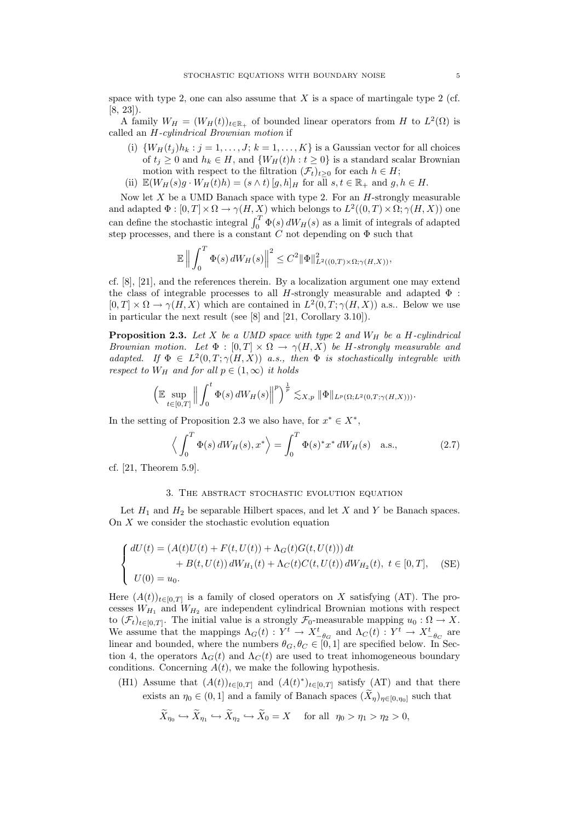space with type 2, one can also assume that  $X$  is a space of martingale type 2 (cf. [8, 23]).

A family  $W_H = (W_H(t))_{t \in \mathbb{R}_+}$  of bounded linear operators from H to  $L^2(\Omega)$  is called an H-cylindrical Brownian motion if

- (i)  $\{W_H(t_j)h_k : j = 1, \ldots, J; k = 1, \ldots, K\}$  is a Gaussian vector for all choices of  $t_i \geq 0$  and  $h_k \in H$ , and  $\{W_H(t)h : t \geq 0\}$  is a standard scalar Brownian motion with respect to the filtration  $(\mathcal{F}_t)_{t>0}$  for each  $h \in H$ ;
- (ii)  $\mathbb{E}(W_H(s)g \cdot W_H(t)h) = (s \wedge t) [g, h]_H$  for all  $s, t \in \mathbb{R}_+$  and  $g, h \in H$ .

Now let  $X$  be a UMD Banach space with type 2. For an  $H$ -strongly measurable and adapted  $\Phi : [0, T] \times \Omega \to \gamma(H, X)$  which belongs to  $L^2((0, T) \times \Omega; \gamma(H, X))$  one can define the stochastic integral  $\int_0^T \Phi(s) dW_H(s)$  as a limit of integrals of adapted step processes, and there is a constant C not depending on  $\Phi$  such that

$$
\mathbb{E}\left\|\int_0^T\Phi(s)\,dW_H(s)\right\|^2\leq C^2\|\Phi\|^2_{L^2((0,T)\times\Omega;\gamma(H,X))},
$$

cf. [8], [21], and the references therein. By a localization argument one may extend the class of integrable processes to all H-strongly measurable and adapted  $\Phi$ :  $[0, T] \times \Omega \to \gamma(H, X)$  which are contained in  $L^2(0, T; \gamma(H, X))$  a.s.. Below we use in particular the next result (see [8] and [21, Corollary 3.10]).

**Proposition 2.3.** Let X be a UMD space with type 2 and  $W_H$  be a H-cylindrical Brownian motion. Let  $\Phi : [0,T] \times \Omega \to \gamma(H,X)$  be H-strongly measurable and adapted. If  $\Phi \in L^2(0,T;\gamma(H,X))$  a.s., then  $\Phi$  is stochastically integrable with respect to  $W_H$  and for all  $p \in (1,\infty)$  it holds

$$
\left(\mathbb{E}\sup_{t\in[0,T]}\left\|\int_0^t\Phi(s)\,dW_H(s)\right\|^p\right)^{\frac{1}{p}}\lesssim_{X,p} \|\Phi\|_{L^p(\Omega;L^2(0,T;\gamma(H,X)))}.
$$

In the setting of Proposition 2.3 we also have, for  $x^* \in X^*$ ,

$$
\left\langle \int_0^T \Phi(s) dW_H(s), x^* \right\rangle = \int_0^T \Phi(s)^* x^* dW_H(s) \quad \text{a.s.}, \tag{2.7}
$$

cf. [21, Theorem 5.9].

#### 3. The abstract stochastic evolution equation

Let  $H_1$  and  $H_2$  be separable Hilbert spaces, and let X and Y be Banach spaces. On X we consider the stochastic evolution equation

$$
\begin{cases}\ndU(t) = (A(t)U(t) + F(t, U(t)) + \Lambda_G(t)G(t, U(t))) dt \\
+ B(t, U(t)) dW_{H_1}(t) + \Lambda_C(t)C(t, U(t)) dW_{H_2}(t), \ t \in [0, T], \quad (SE) \\
U(0) = u_0.\n\end{cases}
$$

Here  $(A(t))_{t\in[0,T]}$  is a family of closed operators on X satisfying (AT). The processes  $W_{H_1}$  and  $W_{H_2}$  are independent cylindrical Brownian motions with respect to  $(\mathcal{F}_t)_{t\in[0,T]}$ . The initial value is a strongly  $\mathcal{F}_0$ -measurable mapping  $u_0:\Omega\to X$ . We assume that the mappings  $\Lambda_G(t) : Y^t \to X^t_{-\theta_G}$  and  $\Lambda_G(t) : Y^t \to X^t_{-\theta_G}$  are linear and bounded, where the numbers  $\theta_G, \theta_C \in [0, 1]$  are specified below. In Section 4, the operators  $\Lambda_G(t)$  and  $\Lambda_G(t)$  are used to treat inhomogeneous boundary conditions. Concerning  $A(t)$ , we make the following hypothesis.

(H1) Assume that  $(A(t))_{t\in[0,T]}$  and  $(A(t)^*)_{t\in[0,T]}$  satisfy (AT) and that there exists an  $\eta_0 \in (0,1]$  and a family of Banach spaces  $(X_{\eta})_{\eta \in [0,\eta_0]}$  such that

$$
\widetilde{X}_{\eta_0} \hookrightarrow \widetilde{X}_{\eta_1} \hookrightarrow \widetilde{X}_{\eta_2} \hookrightarrow \widetilde{X}_0 = X \quad \text{ for all } \eta_0 > \eta_1 > \eta_2 > 0,
$$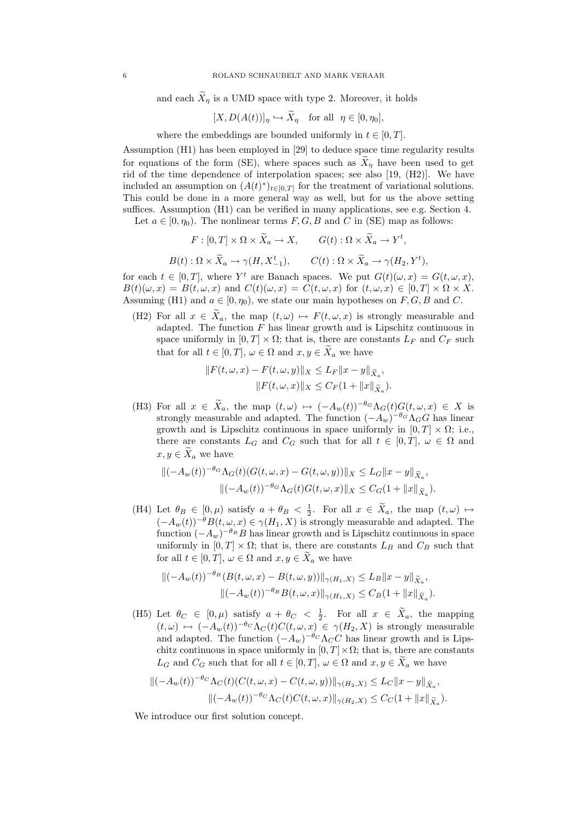and each  $X_{\eta}$  is a UMD space with type 2. Moreover, it holds

$$
[X, D(A(t))]_{\eta} \hookrightarrow X_{\eta} \quad \text{for all} \ \ \eta \in [0, \eta_0],
$$

where the embeddings are bounded uniformly in  $t \in [0, T]$ .

Assumption (H1) has been employed in [29] to deduce space time regularity results for equations of the form (SE), where spaces such as  $\tilde{X}_n$  have been used to get rid of the time dependence of interpolation spaces; see also [19, (H2)]. We have included an assumption on  $(A(t)^*)_{t\in[0,T]}$  for the treatment of variational solutions. This could be done in a more general way as well, but for us the above setting suffices. Assumption (H1) can be verified in many applications, see e.g. Section 4.

Let  $a \in [0, \eta_0)$ . The nonlinear terms  $F, G, B$  and C in (SE) map as follows:

$$
F: [0, T] \times \Omega \times \widetilde{X}_a \to X, \qquad G(t): \Omega \times \widetilde{X}_a \to Y^t,
$$
  

$$
B(t): \Omega \times \widetilde{X}_a \to \gamma(H, X_{-1}^t), \qquad C(t): \Omega \times \widetilde{X}_a \to \gamma(H_2, Y^t),
$$

for each  $t \in [0, T]$ , where Y<sup>t</sup> are Banach spaces. We put  $G(t)(\omega, x) = G(t, \omega, x)$ ,  $B(t)(\omega, x) = B(t, \omega, x)$  and  $C(t)(\omega, x) = C(t, \omega, x)$  for  $(t, \omega, x) \in [0, T] \times \Omega \times X$ . Assuming (H1) and  $a \in [0, \eta_0)$ , we state our main hypotheses on  $F, G, B$  and C.

(H2) For all  $x \in \tilde{X}_a$ , the map  $(t,\omega) \mapsto F(t,\omega,x)$  is strongly measurable and adapted. The function  $F$  has linear growth and is Lipschitz continuous in space uniformly in  $[0, T] \times \Omega$ ; that is, there are constants  $L_F$  and  $C_F$  such that for all  $t \in [0, T]$ ,  $\omega \in \Omega$  and  $x, y \in \widetilde{X}_a$  we have

$$
||F(t, \omega, x) - F(t, \omega, y)||_X \le L_F ||x - y||_{\tilde{X}_a},
$$
  

$$
||F(t, \omega, x)||_X \le C_F (1 + ||x||_{\tilde{X}_a}).
$$

(H3) For all  $x \in \tilde{X}_a$ , the map  $(t, \omega) \mapsto (-A_w(t))^{-\theta_G} \Lambda_G(t) G(t, \omega, x) \in X$  is strongly measurable and adapted. The function  $(-A_w)^{-\theta_G} \Lambda_G G$  has linear growth and is Lipschitz continuous in space uniformly in  $[0, T] \times \Omega$ ; i.e., there are constants  $L_G$  and  $C_G$  such that for all  $t \in [0,T]$ ,  $\omega \in \Omega$  and  $x, y \in \widetilde{X}_a$  we have

$$
\begin{aligned} \|(-A_w(t))^{-\theta_G}\Lambda_G(t)(G(t,\omega,x)-G(t,\omega,y))\|_X &\le L_G \|x-y\|_{\widetilde{X}_a}, \\ \|(-A_w(t))^{-\theta_G}\Lambda_G(t)G(t,\omega,x)\|_X &\le C_G(1+\|x\|_{\widetilde{X}_a}). \end{aligned}
$$

(H4) Let  $\theta_B \in [0, \mu)$  satisfy  $a + \theta_B < \frac{1}{2}$ . For all  $x \in \tilde{X}_a$ , the map  $(t, \omega) \mapsto$  $(-A_w(t))^{-\theta}B(t,\omega,x)\in \gamma(H_1,X)$  is strongly measurable and adapted. The function  $(-A_w)^{-\theta_B}B$  has linear growth and is Lipschitz continuous in space uniformly in  $[0, T] \times \Omega$ ; that is, there are constants  $L_B$  and  $C_B$  such that for all  $t \in [0, T]$ ,  $\omega \in \Omega$  and  $x, y \in \widetilde{X}_a$  we have

$$
\|(-A_w(t))^{-\theta_B}(B(t,\omega,x)-B(t,\omega,y))\|_{\gamma(H_1,X)} \le L_B \|x-y\|_{\tilde{X}_a},
$$
  

$$
\|(-A_w(t))^{-\theta_B}B(t,\omega,x)\|_{\gamma(H_1,X)} \le C_B(1+\|x\|_{\tilde{X}_a}).
$$

(H5) Let  $\theta_C \in [0, \mu)$  satisfy  $a + \theta_C < \frac{1}{2}$ . For all  $x \in \tilde{X}_a$ , the mapping  $(t, \omega) \mapsto (-A_w(t))^{-\theta_C} \Lambda_C(t)C(t, \omega, x) \in \gamma(H_2, X)$  is strongly measurable and adapted. The function  $(-A_w)^{-\theta_C} \Lambda_C C$  has linear growth and is Lipschitz continuous in space uniformly in  $[0, T] \times \Omega$ ; that is, there are constants  $L_G$  and  $C_G$  such that for all  $t \in [0, T]$ ,  $\omega \in \Omega$  and  $x, y \in \tilde{X}_a$  we have

$$
\begin{aligned} \|(-A_w(t))^{-\theta_C} \Lambda_C(t) (C(t,\omega,x) - C(t,\omega,y))\|_{\gamma(H_2,X)} &\le L_C \|x - y\|_{\widetilde{X}_a}, \\ \|(-A_w(t))^{-\theta_C} \Lambda_C(t) C(t,\omega,x)\|_{\gamma(H_2,X)} &\le C_C (1 + \|x\|_{\widetilde{X}_a}). \end{aligned}
$$

We introduce our first solution concept.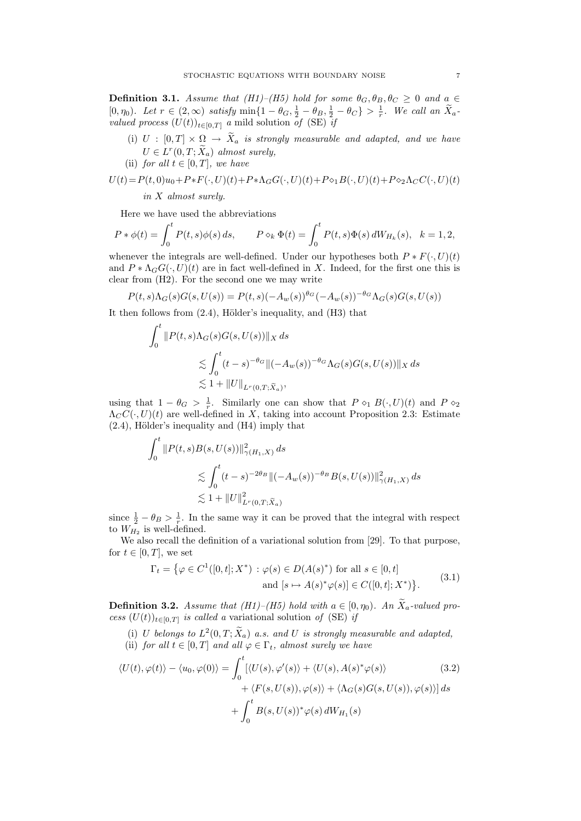**Definition 3.1.** Assume that  $(H1)$ – $(H5)$  hold for some  $\theta_G$ ,  $\theta_B$ ,  $\theta_C \geq 0$  and  $a \in$  $[0, \eta_0]$ . Let  $r \in (2, \infty)$  satisfy  $\min\{1-\theta_G, \frac{1}{2}-\theta_B, \frac{1}{2}-\theta_C\} > \frac{1}{r}$ . We call an  $\widetilde{X}_a$ . valued process  $(U(t))_{t\in[0,T]}$  a mild solution of (SE) if

- (i)  $U : [0, T] \times \Omega \rightarrow \tilde{X}_a$  is strongly measurable and adapted, and we have  $U \in L^r(0,T; \tilde{X}_a)$  almost surely,
- (ii) for all  $t \in [0, T]$ , we have

$$
U(t) = P(t,0)u_0 + P * F(\cdot, U)(t) + P * \Lambda_G G(\cdot, U)(t) + P \diamond_1 B(\cdot, U)(t) + P \diamond_2 \Lambda_C C(\cdot, U)(t)
$$
  
in X almost surely.

Here we have used the abbreviations

$$
P * \phi(t) = \int_0^t P(t, s)\phi(s) \, ds, \qquad P \diamond_k \Phi(t) = \int_0^t P(t, s)\Phi(s) \, dW_{H_k}(s), \quad k = 1, 2,
$$

whenever the integrals are well-defined. Under our hypotheses both  $P * F(\cdot, U)(t)$ and  $P * \Lambda_G G(\cdot, U)(t)$  are in fact well-defined in X. Indeed, for the first one this is clear from (H2). For the second one we may write

$$
P(t,s)\Lambda_G(s)G(s, U(s)) = P(t,s)(-A_w(s))^{\theta_G}(-A_w(s))^{-\theta_G}\Lambda_G(s)G(s, U(s))
$$

It then follows from  $(2.4)$ , Hölder's inequality, and  $(H3)$  that

$$
\int_0^t \|P(t,s)\Lambda_G(s)G(s,U(s))\|_X ds
$$
  
\$\lesssim \int\_0^t (t-s)^{-\theta\_G} \|(-A\_w(s))^{-\theta\_G} \Lambda\_G(s)G(s,U(s))\|\_X ds\$  
\$\lesssim 1 + \|U\|\_{L^r(0,T;\tilde{X}\_a)},

using that  $1 - \theta_G > \frac{1}{r}$ . Similarly one can show that  $P \circ_1 B(\cdot, U)(t)$  and  $P \circ_2$  $\Lambda_C C(\cdot, U)(t)$  are well-defined in X, taking into account Proposition 2.3: Estimate  $(2.4)$ , Hölder's inequality and  $(H4)$  imply that

$$
\int_0^t \|P(t,s)B(s,U(s))\|_{\gamma(H_1,X)}^2 ds
$$
  
\$\lesssim \int\_0^t (t-s)^{-2\theta\_B} \|(-A\_w(s))^{-\theta\_B} B(s,U(s))\|\_{\gamma(H\_1,X)}^2 ds\$  
\$\lesssim 1 + \|U\|\_{L^r(0,T;\tilde{X}\_a)}^2\$

since  $\frac{1}{2} - \theta_B > \frac{1}{r}$ . In the same way it can be proved that the integral with respect to  $W_{H_2}$  is well-defined.

We also recall the definition of a variational solution from [29]. To that purpose, for  $t \in [0, T]$ , we set

$$
\Gamma_t = \{ \varphi \in C^1([0, t]; X^*) : \varphi(s) \in D(A(s)^*) \text{ for all } s \in [0, t] \text{and } [s \mapsto A(s)^* \varphi(s)] \in C([0, t]; X^*) \}.
$$
\n(3.1)

**Definition 3.2.** Assume that (H1)–(H5) hold with  $a \in [0, \eta_0)$ . An  $\widetilde{X}_a$ -valued process  $(U(t))_{t\in[0,T]}$  is called a variational solution of (SE) if

- (i) U belongs to  $L^2(0,T;\tilde{X}_a)$  a.s. and U is strongly measurable and adapted,
- (ii) for all  $t \in [0, T]$  and all  $\varphi \in \Gamma_t$ , almost surely we have

$$
\langle U(t), \varphi(t) \rangle - \langle u_0, \varphi(0) \rangle = \int_0^t [\langle U(s), \varphi'(s) \rangle + \langle U(s), A(s)^* \varphi(s) \rangle + \langle F(s, U(s)), \varphi(s) \rangle + \langle \Lambda_G(s) G(s, U(s)), \varphi(s) \rangle] ds + \int_0^t B(s, U(s))^* \varphi(s) dW_{H_1}(s)
$$
 (3.2)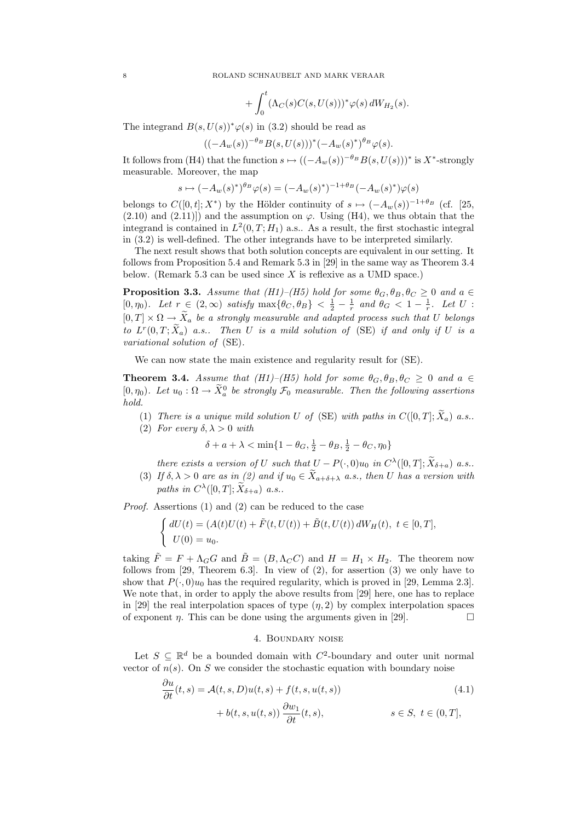$$
+\int_0^t (\Lambda_C(s)C(s,U(s)))^*\varphi(s)\,dW_{H_2}(s).
$$

The integrand  $B(s, U(s))^* \varphi(s)$  in (3.2) should be read as

$$
((-A_w(s))^{-\theta_B}B(s, U(s)))^*(-A_w(s)^*)^{\theta_B}\varphi(s).
$$

It follows from (H4) that the function  $s \mapsto ((-A_w(s))^{-\theta_B}B(s, U(s)))^*$  is X<sup>\*</sup>-strongly measurable. Moreover, the map

$$
s \mapsto (-A_w(s)^*)^{\theta_B} \varphi(s) = (-A_w(s)^*)^{-1+\theta_B} (-A_w(s)^*) \varphi(s)
$$

belongs to  $C([0,t];X^*)$  by the Hölder continuity of  $s \mapsto (-A_w(s))^{-1+\theta_B}$  (cf. [25,  $(2.10)$  and  $(2.11)$ ) and the assumption on  $\varphi$ . Using (H4), we thus obtain that the integrand is contained in  $L^2(0,T;H_1)$  a.s.. As a result, the first stochastic integral in (3.2) is well-defined. The other integrands have to be interpreted similarly.

The next result shows that both solution concepts are equivalent in our setting. It follows from Proposition 5.4 and Remark 5.3 in [29] in the same way as Theorem 3.4 below. (Remark 5.3 can be used since  $X$  is reflexive as a UMD space.)

**Proposition 3.3.** Assume that (H1)–(H5) hold for some  $\theta_G$ ,  $\theta_B$ ,  $\theta_C \ge 0$  and  $a \in$ [0,  $\eta_0$ ). Let  $r \in (2,\infty)$  satisfy  $\max\{\theta_C,\theta_B\} < \frac{1}{2} - \frac{1}{r}$  and  $\theta_G < 1 - \frac{1}{r}$ . Let U :  $[0, T] \times \Omega \rightarrow \tilde{X}_a$  be a strongly measurable and adapted process such that U belongs to  $L^r(0,T;X_a)$  a.s.. Then U is a mild solution of (SE) if and only if U is a variational solution of (SE).

We can now state the main existence and regularity result for (SE).

**Theorem 3.4.** Assume that (H1)–(H5) hold for some  $\theta_G$ ,  $\theta_B$ ,  $\theta_C \geq 0$  and  $a \in$ [0,  $\eta_0$ ). Let  $u_0 : \Omega \to \tilde{X}_a^0$  be strongly  $\mathcal{F}_0$  measurable. Then the following assertions hold.

- (1) There is a unique mild solution U of (SE) with paths in  $C([0,T]; \widetilde{X}_a)$  a.s..
- (2) For every  $\delta, \lambda > 0$  with

$$
\delta + a + \lambda < \min\{1 - \theta_G, \frac{1}{2} - \theta_B, \frac{1}{2} - \theta_C, \eta_0\}
$$

there exists a version of U such that  $U - P(\cdot, 0)u_0$  in  $C^{\lambda}([0, T]; \tilde{X}_{\delta+a})$  a.s.

(3) If  $\delta, \lambda > 0$  are as in (2) and if  $u_0 \in \widetilde{X}_{a+\delta+\lambda}$  a.s., then U has a version with paths in  $C^{\lambda}([0,T]; \widetilde{X}_{\delta+a})$  a.s..

Proof. Assertions (1) and (2) can be reduced to the case

$$
\begin{cases} dU(t) = (A(t)U(t) + \tilde{F}(t, U(t)) + \tilde{B}(t, U(t)) dW_H(t), \ t \in [0, T], \\ U(0) = u_0. \end{cases}
$$

taking  $\tilde{F} = F + \Lambda_G G$  and  $\tilde{B} = (B, \Lambda_C C)$  and  $H = H_1 \times H_2$ . The theorem now follows from [29, Theorem 6.3]. In view of (2), for assertion (3) we only have to show that  $P(\cdot, 0)u_0$  has the required regularity, which is proved in [29, Lemma 2.3]. We note that, in order to apply the above results from [29] here, one has to replace in [29] the real interpolation spaces of type  $(\eta, 2)$  by complex interpolation spaces of exponent *η*. This can be done using the arguments given in [29].

## 4. Boundary noise

Let  $S \subseteq \mathbb{R}^d$  be a bounded domain with  $C^2$ -boundary and outer unit normal vector of  $n(s)$ . On S we consider the stochastic equation with boundary noise

$$
\frac{\partial u}{\partial t}(t,s) = \mathcal{A}(t,s,D)u(t,s) + f(t,s,u(t,s))
$$
\n
$$
+ b(t,s,u(t,s)) \frac{\partial w_1}{\partial t}(t,s), \qquad s \in S, \ t \in (0,T],
$$
\n(4.1)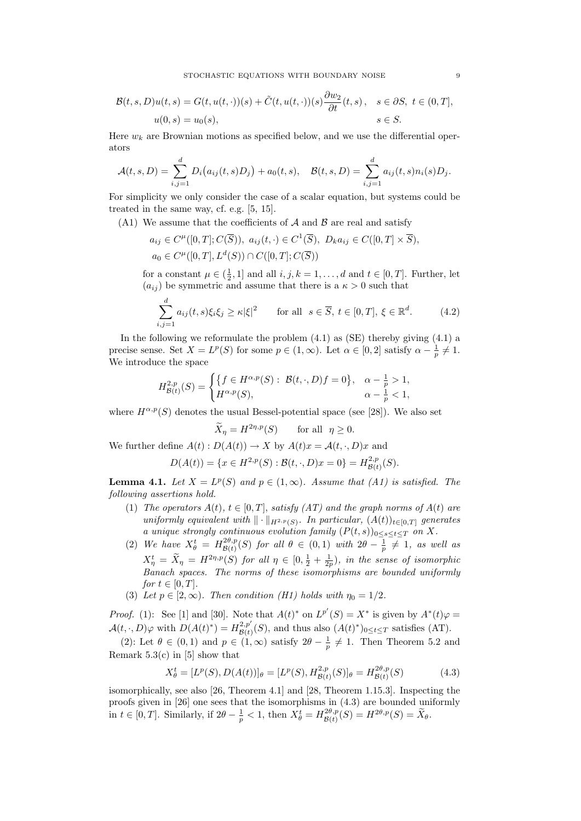$$
\mathcal{B}(t,s,D)u(t,s) = G(t,u(t,\cdot))(s) + \tilde{C}(t,u(t,\cdot))(s)\frac{\partial w_2}{\partial t}(t,s), \quad s \in \partial S, \ t \in (0,T],
$$
  

$$
u(0,s) = u_0(s), \qquad s \in S.
$$

Here  $w_k$  are Brownian motions as specified below, and we use the differential operators

$$
\mathcal{A}(t,s,D) = \sum_{i,j=1}^d D_i(a_{ij}(t,s)D_j) + a_0(t,s), \quad \mathcal{B}(t,s,D) = \sum_{i,j=1}^d a_{ij}(t,s)n_i(s)D_j.
$$

For simplicity we only consider the case of a scalar equation, but systems could be treated in the same way, cf. e.g. [5, 15].

(A1) We assume that the coefficients of  $A$  and  $B$  are real and satisfy

$$
a_{ij} \in C^{\mu}([0,T]; C(\overline{S})), \ a_{ij}(t, \cdot) \in C^{1}(\overline{S}), \ D_k a_{ij} \in C([0,T] \times \overline{S}),
$$
  

$$
a_0 \in C^{\mu}([0,T], L^d(S)) \cap C([0,T]; C(\overline{S}))
$$

for a constant  $\mu \in (\frac{1}{2}, 1]$  and all  $i, j, k = 1, ..., d$  and  $t \in [0, T]$ . Further, let  $(a_{ij})$  be symmetric and assume that there is a  $\kappa > 0$  such that

$$
\sum_{i,j=1}^{d} a_{ij}(t,s)\xi_i\xi_j \ge \kappa|\xi|^2 \quad \text{for all } s \in \overline{S}, t \in [0,T], \xi \in \mathbb{R}^d. \tag{4.2}
$$

In the following we reformulate the problem  $(4.1)$  as  $(SE)$  thereby giving  $(4.1)$  a precise sense. Set  $X = L^p(S)$  for some  $p \in (1, \infty)$ . Let  $\alpha \in [0, 2]$  satisfy  $\alpha - \frac{1}{p} \neq 1$ . We introduce the space

$$
H^{2,p}_{\mathcal{B}(t)}(S) = \begin{cases} \{f \in H^{\alpha,p}(S) : \ \mathcal{B}(t,\cdot,D)f = 0\}, & \alpha - \frac{1}{p} > 1, \\ H^{\alpha,p}(S), & \alpha - \frac{1}{p} < 1, \end{cases}
$$

where  $H^{\alpha,p}(S)$  denotes the usual Bessel-potential space (see [28]). We also set

$$
\widetilde{X}_{\eta} = H^{2\eta, p}(S) \quad \text{for all} \ \eta \ge 0.
$$

We further define  $A(t): D(A(t)) \to X$  by  $A(t)x = A(t, \cdot, D)x$  and

$$
D(A(t)) = \{ x \in H^{2,p}(S) : \mathcal{B}(t,\cdot,D)x = 0 \} = H^{2,p}_{\mathcal{B}(t)}(S).
$$

**Lemma 4.1.** Let  $X = L^p(S)$  and  $p \in (1, \infty)$ . Assume that (A1) is satisfied. The following assertions hold.

- (1) The operators  $A(t)$ ,  $t \in [0, T]$ , satisfy  $(AT)$  and the graph norms of  $A(t)$  are uniformly equivalent with  $\|\cdot\|_{H^{2,p}(S)}$ . In particular,  $(A(t))_{t\in[0,T]}$  generates a unique strongly continuous evolution family  $(P(t, s))_{0 \leq s \leq t \leq T}$  on X.
- (2) We have  $X_{\theta}^t = H_{\mathcal{B}(t)}^{2\theta, p}$  $\frac{e^{2\theta,p}(S)}{\mathcal{B}(t)}(S)$  for all  $\theta \in (0,1)$  with  $2\theta - \frac{1}{p} \neq 1$ , as well as  $X_{\eta}^{t} = \tilde{X}_{\eta} = H^{2\eta,p}(S)$  for all  $\eta \in [0, \frac{1}{2} + \frac{1}{2p})$ , in the sense of isomorphic Banach spaces. The norms of these isomorphisms are bounded uniformly for  $t \in [0, T]$ .
- (3) Let  $p \in [2,\infty)$ . Then condition (H1) holds with  $\eta_0 = 1/2$ .

*Proof.* (1): See [1] and [30]. Note that  $A(t)^*$  on  $L^{p'}(S) = X^*$  is given by  $A^*(t)\varphi =$  $\mathcal{A}(t, \cdot, D)\varphi$  with  $D(A(t)^*) = H^{2, p'}_{\mathcal{B}(t)}$  $\mathcal{B}_{\mathcal{B}(t)}^{(2,p)}(S)$ , and thus also  $(A(t)^*)_{0 \leq t \leq T}$  satisfies  $(AT)$ .

(2): Let  $\theta \in (0,1)$  and  $p \in (1,\infty)$  satisfy  $2\theta - \frac{1}{p} \neq 1$ . Then Theorem 5.2 and Remark  $5.3(c)$  in [5] show that

$$
X_{\theta}^{t} = [L^{p}(S), D(A(t))]_{\theta} = [L^{p}(S), H_{\mathcal{B}(t)}^{2,p}(S)]_{\theta} = H_{\mathcal{B}(t)}^{2\theta,p}(S)
$$
(4.3)

isomorphically, see also [26, Theorem 4.1] and [28, Theorem 1.15.3]. Inspecting the proofs given in [26] one sees that the isomorphisms in (4.3) are bounded uniformly in  $t \in [0, T]$ . Similarly, if  $2\theta - \frac{1}{p} < 1$ , then  $X_{\theta}^{t} = H_{\mathcal{B}(t)}^{2\theta, p}$  $B^{2\theta,p}_{\mathcal{B}(t)}(S) = H^{2\theta,p}(S) = \widetilde{X}_{\theta}.$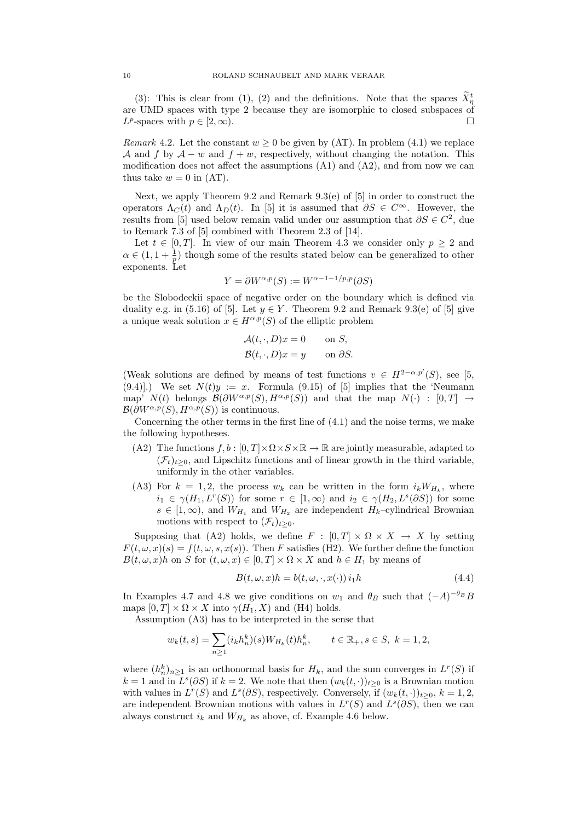(3): This is clear from (1), (2) and the definitions. Note that the spaces  $X_{\tau}^t$ are UMD spaces with type 2 because they are isomorphic to closed subspaces of  $L^p$ -spaces with  $p \in [2, \infty)$ .

Remark 4.2. Let the constant  $w > 0$  be given by (AT). In problem (4.1) we replace A and f by  $A - w$  and  $f + w$ , respectively, without changing the notation. This modification does not affect the assumptions  $(A1)$  and  $(A2)$ , and from now we can thus take  $w = 0$  in  $(AT)$ .

Next, we apply Theorem 9.2 and Remark 9.3(e) of  $[5]$  in order to construct the operators  $\Lambda_C(t)$  and  $\Lambda_D(t)$ . In [5] it is assumed that  $\partial S \in C^{\infty}$ . However, the results from [5] used below remain valid under our assumption that  $\partial S \in C^2$ , due to Remark 7.3 of [5] combined with Theorem 2.3 of [14].

Let  $t \in [0, T]$ . In view of our main Theorem 4.3 we consider only  $p > 2$  and  $\alpha \in (1, 1 + \frac{1}{p})$  though some of the results stated below can be generalized to other exponents. Let

$$
Y = \partial W^{\alpha, p}(S) := W^{\alpha - 1 - 1/p, p}(\partial S)
$$

be the Slobodeckii space of negative order on the boundary which is defined via duality e.g. in (5.16) of [5]. Let  $y \in Y$ . Theorem 9.2 and Remark 9.3(e) of [5] give a unique weak solution  $x \in H^{\alpha,p}(S)$  of the elliptic problem

$$
\mathcal{A}(t, \cdot, D)x = 0 \quad \text{on } S,
$$
  

$$
\mathcal{B}(t, \cdot, D)x = y \quad \text{on } \partial S.
$$

(Weak solutions are defined by means of test functions  $v \in H^{2-\alpha,p'}(S)$ , see [5,  $(9.4)$ .) We set  $N(t)y := x$ . Formula  $(9.15)$  of [5] implies that the 'Neumann map'  $N(t)$  belongs  $\mathcal{B}(\partial W^{\alpha,p}(S), H^{\alpha,p}(S))$  and that the map  $N(\cdot) : [0, T] \rightarrow$  $\mathcal{B}(\partial W^{\alpha,p}(S), H^{\alpha,p}(S))$  is continuous.

Concerning the other terms in the first line of  $(4.1)$  and the noise terms, we make the following hypotheses.

- (A2) The functions  $f, b : [0, T] \times \Omega \times S \times \mathbb{R} \to \mathbb{R}$  are jointly measurable, adapted to  $(\mathcal{F}_t)_{t>0}$ , and Lipschitz functions and of linear growth in the third variable, uniformly in the other variables.
- (A3) For  $k = 1, 2$ , the process  $w_k$  can be written in the form  $i_k W_{H_k}$ , where  $i_1 \in \gamma(H_1, L^r(S))$  for some  $r \in [1, \infty)$  and  $i_2 \in \gamma(H_2, L^s(\partial S))$  for some  $s \in [1,\infty)$ , and  $W_{H_1}$  and  $W_{H_2}$  are independent  $H_k$ -cylindrical Brownian motions with respect to  $(\mathcal{F}_t)_{t\geq 0}$ .

Supposing that (A2) holds, we define  $F : [0, T] \times \Omega \times X \rightarrow X$  by setting  $F(t, \omega, x)(s) = f(t, \omega, s, x(s))$ . Then F satisfies (H2). We further define the function  $B(t, \omega, x)h$  on S for  $(t, \omega, x) \in [0, T] \times \Omega \times X$  and  $h \in H_1$  by means of

$$
B(t, \omega, x)h = b(t, \omega, \cdot, x(\cdot)) i_1 h \qquad (4.4)
$$

In Examples 4.7 and 4.8 we give conditions on  $w_1$  and  $\theta_B$  such that  $(-A)^{-\theta_B}B$ maps  $[0, T] \times \Omega \times X$  into  $\gamma(H_1, X)$  and (H4) holds.

Assumption (A3) has to be interpreted in the sense that

$$
w_k(t,s) = \sum_{n\geq 1} (i_k h_n^k)(s) W_{H_k}(t) h_n^k, \qquad t \in \mathbb{R}_+, s \in S, \ k = 1, 2,
$$

where  $(h_n^k)_{n\geq 1}$  is an orthonormal basis for  $H_k$ , and the sum converges in  $L^r(S)$  if  $k = 1$  and in  $L^s(\partial S)$  if  $k = 2$ . We note that then  $(w_k(t, \cdot))_{t \geq 0}$  is a Brownian motion with values in  $L^r(S)$  and  $L^s(\partial S)$ , respectively. Conversely, if  $(w_k(t, \cdot))_{t \geq 0}, k = 1, 2$ , are independent Brownian motions with values in  $L^r(S)$  and  $L^s(\partial S)$ , then we can always construct  $i_k$  and  $W_{H_k}$  as above, cf. Example 4.6 below.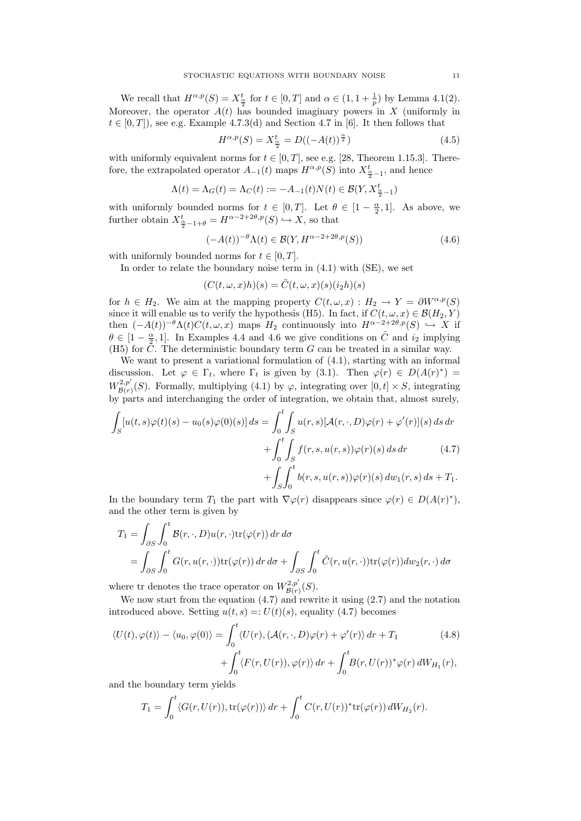We recall that  $H^{\alpha,p}(S) = X_{\frac{\alpha}{2}}^t$  for  $t \in [0,T]$  and  $\alpha \in (1, 1 + \frac{1}{p})$  by Lemma 4.1(2). Moreover, the operator  $A(t)$  has bounded imaginary powers in X (uniformly in  $t \in [0, T]$ , see e.g. Example 4.7.3(d) and Section 4.7 in [6]. It then follows that

$$
H^{\alpha,p}(S) = X_{\frac{\alpha}{2}}^{t} = D((-A(t))^{\frac{\alpha}{2}})
$$
\n(4.5)

with uniformly equivalent norms for  $t \in [0, T]$ , see e.g. [28, Theorem 1.15.3]. Therefore, the extrapolated operator  $A_{-1}(t)$  maps  $H^{\alpha,p}(S)$  into  $X^t_{\frac{\alpha}{2}-1}$ , and hence

$$
\Lambda(t) = \Lambda_G(t) = \Lambda_C(t) := -A_{-1}(t)N(t) \in \mathcal{B}(Y, X_{\frac{\alpha}{2}-1}^t)
$$

with uniformly bounded norms for  $t \in [0,T]$ . Let  $\theta \in [1-\frac{\alpha}{2},1]$ . As above, we further obtain  $X_{\frac{\alpha}{2}-1+\theta}^{t} = H^{\alpha-2+2\theta,p}(S) \hookrightarrow X$ , so that

$$
(-A(t))^{-\theta} \Lambda(t) \in \mathcal{B}(Y, H^{\alpha - 2 + 2\theta, p}(S))
$$
\n(4.6)

with uniformly bounded norms for  $t \in [0, T]$ .

In order to relate the boundary noise term in  $(4.1)$  with  $(SE)$ , we set

$$
(C(t, \omega, x)h)(s) = \tilde{C}(t, \omega, x)(s)(i_2h)(s)
$$

for  $h \in H_2$ . We aim at the mapping property  $C(t, \omega, x) : H_2 \to Y = \partial W^{\alpha, p}(S)$ since it will enable us to verify the hypothesis (H5). In fact, if  $C(t, \omega, x) \in \mathcal{B}(H_2, Y)$ then  $(-A(t))^{-\theta} \Lambda(t) C(t, \omega, x)$  maps  $H_2$  continuously into  $H^{\alpha-2+2\theta, p}(S) \hookrightarrow X$  if  $\theta \in [1-\frac{\alpha}{2},1]$ . In Examples 4.4 and 4.6 we give conditions on  $\tilde{C}$  and  $i_2$  implying (H5) for  $\overline{C}$ . The deterministic boundary term G can be treated in a similar way.

We want to present a variational formulation of (4.1), starting with an informal discussion. Let  $\varphi \in \Gamma_t$ , where  $\Gamma_t$  is given by (3.1). Then  $\varphi(r) \in D(A(r)^*)$  $W^{2,p'}_{\mathcal{B}(r)}$ <sup>2,p</sup><sub> $\mathcal{B}(r)$ </sub> S). Formally, multiplying (4.1) by  $\varphi$ , integrating over  $[0, t] \times S$ , integrating by parts and interchanging the order of integration, we obtain that, almost surely,

$$
\int_{S} [u(t,s)\varphi(t)(s) - u_0(s)\varphi(0)(s)] ds = \int_0^t \int_{S} u(r,s)[\mathcal{A}(r,\cdot,D)\varphi(r) + \varphi'(r)](s) ds dr
$$

$$
+ \int_0^t \int_{S} f(r,s,u(r,s))\varphi(r)(s) ds dr \qquad (4.7)
$$

$$
+ \int_{S} \int_0^t b(r,s,u(r,s))\varphi(r)(s) dw_1(r,s) ds + T_1.
$$

In the boundary term  $T_1$  the part with  $\nabla \varphi(r)$  disappears since  $\varphi(r) \in D(A(r)^*)$ , and the other term is given by

$$
T_1 = \int_{\partial S} \int_0^t \mathcal{B}(r, \cdot, D) u(r, \cdot) \text{tr}(\varphi(r)) \, dr \, d\sigma
$$
  
= 
$$
\int_{\partial S} \int_0^t G(r, u(r, \cdot)) \text{tr}(\varphi(r)) \, dr \, d\sigma + \int_{\partial S} \int_0^t \tilde{C}(r, u(r, \cdot)) \text{tr}(\varphi(r)) \, dw_2(r, \cdot) \, d\sigma
$$

where tr denotes the trace operator on  $W^{2,p'}_{\mathcal{B}(r)}$  $\zeta^{2,p}_{\mathcal{B}(r)}(S).$ 

We now start from the equation (4.7) and rewrite it using (2.7) and the notation introduced above. Setting  $u(t, s) =: U(t)(s)$ , equality (4.7) becomes

$$
\langle U(t), \varphi(t) \rangle - \langle u_0, \varphi(0) \rangle = \int_0^t \langle U(r), (\mathcal{A}(r, \cdot, D)\varphi(r) + \varphi'(r)) dr + T_1 \qquad (4.8)
$$

$$
+ \int_0^t \langle F(r, U(r)), \varphi(r) \rangle dr + \int_0^t B(r, U(r))^* \varphi(r) dW_{H_1}(r),
$$

and the boundary term yields

$$
T_1 = \int_0^t \langle G(r, U(r)), \text{tr}(\varphi(r)) \rangle dr + \int_0^t C(r, U(r))^* \text{tr}(\varphi(r)) dW_{H_2}(r).
$$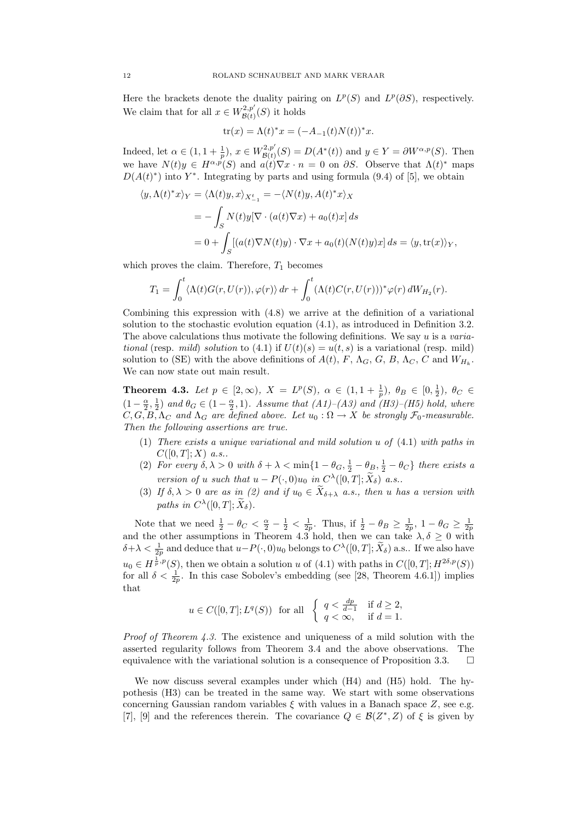Here the brackets denote the duality pairing on  $L^p(S)$  and  $L^p(\partial S)$ , respectively. We claim that for all  $x \in W^{2,p'}_{\mathcal{B}^{(f)}}$  $\mathcal{B}(t)$ <sup> $\mathcal{B}(t)$ </sup> it holds

$$
tr(x) = \Lambda(t)^{*}x = (-A_{-1}(t)N(t))^{*}x.
$$

Indeed, let  $\alpha \in (1, 1 + \frac{1}{p}), x \in W^{2, p'}_{\mathcal{B}(t)}$  $B^{(2,p'}_{\mathcal{B}(t)}(S) = D(A^*(t))$  and  $y \in Y = \partial W^{\alpha,p}(S)$ . Then we have  $N(t)y \in H^{\alpha,p}(S)$  and  $a(t)\nabla x \cdot n = 0$  on  $\partial S$ . Observe that  $\Lambda(t)^*$  maps  $D(A(t)^*)$  into Y<sup>\*</sup>. Integrating by parts and using formula (9.4) of [5], we obtain

$$
\langle y, \Lambda(t)^* x \rangle_Y = \langle \Lambda(t) y, x \rangle_{X_{-1}^t} = -\langle N(t) y, A(t)^* x \rangle_X
$$
  
= 
$$
- \int_S N(t) y [\nabla \cdot (a(t) \nabla x) + a_0(t) x] ds
$$
  
= 
$$
0 + \int_S [(a(t) \nabla N(t) y) \cdot \nabla x + a_0(t) (N(t) y) x] ds = \langle y, \text{tr}(x) \rangle_Y,
$$

which proves the claim. Therefore,  $T_1$  becomes

$$
T_1 = \int_0^t \langle \Lambda(t)G(r, U(r)), \varphi(r) \rangle dr + \int_0^t (\Lambda(t)C(r, U(r)))^* \varphi(r) dW_{H_2}(r).
$$

Combining this expression with (4.8) we arrive at the definition of a variational solution to the stochastic evolution equation (4.1), as introduced in Definition 3.2. The above calculations thus motivate the following definitions. We say  $u$  is a *varia*tional (resp. mild) solution to (4.1) if  $U(t)(s) = u(t, s)$  is a variational (resp. mild) solution to (SE) with the above definitions of  $A(t)$ , F,  $\Lambda_G$ , G, B,  $\Lambda_C$ , C and  $W_{H_k}$ . We can now state out main result.

**Theorem 4.3.** Let  $p \in [2, \infty)$ ,  $X = L^p(S)$ ,  $\alpha \in (1, 1 + \frac{1}{p})$ ,  $\theta_B \in [0, \frac{1}{2})$ ,  $\theta_C \in$  $(1-\frac{\alpha}{2},\frac{1}{2})$  and  $\theta_G \in (1-\frac{\alpha}{2},1)$ . Assume that  $(A1)-(A3)$  and  $(H3)-(H5)$  hold, where  $C, G, B, \Lambda_C$  and  $\Lambda_G$  are defined above. Let  $u_0 : \Omega \to X$  be strongly  $\mathcal{F}_0$ -measurable. Then the following assertions are true.

- (1) There exists a unique variational and mild solution u of (4.1) with paths in  $C([0, T]; X)$  a.s..
- (2) For every  $\delta, \lambda > 0$  with  $\delta + \lambda < \min\{1 \theta_G, \frac{1}{2} \theta_B, \frac{1}{2} \theta_C\}$  there exists a version of u such that  $u - P(\cdot, 0)u_0$  in  $C^{\lambda}([0, T]; \tilde{X}_\delta)$  a.s..
- (3) If  $\delta, \lambda > 0$  are as in (2) and if  $u_0 \in \widetilde{X}_{\delta+\lambda}$  a.s., then u has a version with paths in  $C^{\lambda}([0,T]; \widetilde{X}_{\delta}).$

Note that we need  $\frac{1}{2} - \theta_C < \frac{\alpha}{2} - \frac{1}{2} < \frac{1}{2p}$ . Thus, if  $\frac{1}{2} - \theta_B \ge \frac{1}{2p}$ ,  $1 - \theta_G \ge \frac{1}{2p}$  and the other assumptions in Theorem 4.3 hold, then we can take  $\lambda, \delta \ge 0$  with  $\delta + \lambda < \frac{1}{2p}$  and deduce that  $u-P(\cdot,0)u_0$  belongs to  $C^{\lambda}([0,T];\widetilde{X}_\delta)$  a.s.. If we also have  $u_0 \in H^{\frac{1}{p},p}(S)$ , then we obtain a solution u of (4.1) with paths in  $C([0,T]; H^{2\delta,p}(S))$ for all  $\delta < \frac{1}{2p}$ . In this case Sobolev's embedding (see [28, Theorem 4.6.1]) implies that

$$
u \in C([0,T];L^q(S)) \text{ for all } \begin{cases} q < \frac{dp}{d-1} \\ q < \infty, \end{cases} \text{ if } d \ge 2,
$$

*Proof of Theorem 4.3.* The existence and uniqueness of a mild solution with the asserted regularity follows from Theorem 3.4 and the above observations. The equivalence with the variational solution is a consequence of Proposition 3.3.  $\Box$ 

We now discuss several examples under which (H4) and (H5) hold. The hypothesis (H3) can be treated in the same way. We start with some observations concerning Gaussian random variables  $\xi$  with values in a Banach space  $Z$ , see e.g. [7], [9] and the references therein. The covariance  $Q \in \mathcal{B}(Z^*, Z)$  of  $\xi$  is given by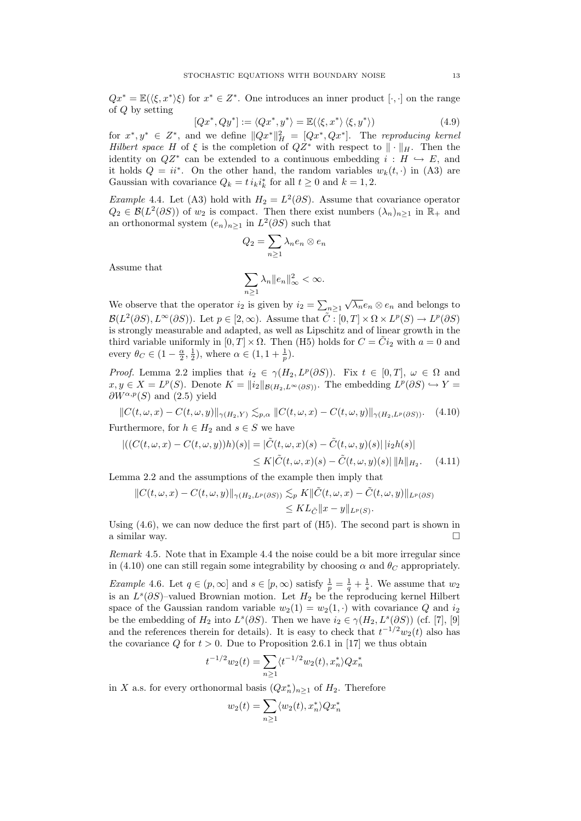$Qx^* = \mathbb{E}(\langle \xi, x^* \rangle \xi)$  for  $x^* \in Z^*$ . One introduces an inner product  $[\cdot, \cdot]$  on the range of Q by setting

$$
[Qx^*, Qy^*] := \langle Qx^*, y^* \rangle = \mathbb{E}(\langle \xi, x^* \rangle \langle \xi, y^* \rangle)
$$
\n(4.9)

for  $x^*, y^* \in Z^*$ , and we define  $||Qx^*||_H^2 = [Qx^*, Qx^*]$ . The reproducing kernel Hilbert space H of  $\xi$  is the completion of  $QZ^*$  with respect to  $\|\cdot\|_H$ . Then the identity on  $QZ^*$  can be extended to a continuous embedding  $i : H \hookrightarrow E$ , and it holds  $Q = ii^*$ . On the other hand, the random variables  $w_k(t, \cdot)$  in (A3) are Gaussian with covariance  $Q_k = t i_k i_k^*$  for all  $t \ge 0$  and  $k = 1, 2$ .

*Example* 4.4. Let (A3) hold with  $H_2 = L^2(\partial S)$ . Assume that covariance operator  $Q_2 \in \mathcal{B}(L^2(\partial S))$  of  $w_2$  is compact. Then there exist numbers  $(\lambda_n)_{n\geq 1}$  in  $\mathbb{R}_+$  and an orthonormal system  $(e_n)_{n\geq 1}$  in  $L^2(\partial S)$  such that

$$
Q_2 = \sum_{n \ge 1} \lambda_n e_n \otimes e_n
$$

Assume that

$$
\sum_{n\geq 1}\lambda_n\|e_n\|_{\infty}^2<\infty.
$$

We observe that the operator  $i_2$  is given by  $i_2 = \sum_{n \geq 1}$  $\sqrt{\lambda_n}e_n\otimes e_n$  and belongs to  $\mathcal{B}(L^2(\partial S), L^{\infty}(\partial S))$ . Let  $p \in [2, \infty)$ . Assume that  $\tilde{C}$ :  $[0, T] \times \Omega \times L^p(S) \to L^p(\partial S)$ is strongly measurable and adapted, as well as Lipschitz and of linear growth in the third variable uniformly in  $[0, T] \times \Omega$ . Then (H5) holds for  $C = \tilde{C}i_2$  with  $a = 0$  and every  $\theta_C \in (1 - \frac{\alpha}{2}, \frac{1}{2})$ , where  $\alpha \in (1, 1 + \frac{1}{p})$ .

*Proof.* Lemma 2.2 implies that  $i_2 \in \gamma(H_2, L^p(\partial S))$ . Fix  $t \in [0, T]$ ,  $\omega \in \Omega$  and  $x, y \in X = L^p(S)$ . Denote  $K = ||i_2||_{\mathcal{B}(H_2, L^{\infty}(\partial S))}$ . The embedding  $L^p(\partial S) \hookrightarrow Y$  $\partial W^{\alpha,p}(S)$  and  $(2.5)$  yield

$$
||C(t,\omega,x) - C(t,\omega,y)||_{\gamma(H_2,Y)} \lesssim_{p,\alpha} ||C(t,\omega,x) - C(t,\omega,y)||_{\gamma(H_2,L^p(\partial S))}. \tag{4.10}
$$

Furthermore, for  $h \in H_2$  and  $s \in S$  we have

$$
\left| \left( (C(t,\omega,x) - C(t,\omega,y))h)(s) \right| = |\tilde{C}(t,\omega,x)(s) - \tilde{C}(t,\omega,y)(s)| \, |i_2h(s)| \right|
$$
  
 
$$
\leq K |\tilde{C}(t,\omega,x)(s) - \tilde{C}(t,\omega,y)(s)| \, \|h\|_{H_2}.\tag{4.11}
$$

Lemma 2.2 and the assumptions of the example then imply that

$$
||C(t,\omega,x)-C(t,\omega,y)||_{\gamma(H_2,L^p(\partial S))} \lesssim_p K||\tilde{C}(t,\omega,x)-\tilde{C}(t,\omega,y)||_{L^p(\partial S)}\leq KL_{\tilde{C}}||x-y||_{L^p(S)}.
$$

Using  $(4.6)$ , we can now deduce the first part of  $(H5)$ . The second part is shown in a similar way.

Remark 4.5. Note that in Example 4.4 the noise could be a bit more irregular since in (4.10) one can still regain some integrability by choosing  $\alpha$  and  $\theta_C$  appropriately.

*Example* 4.6. Let  $q \in (p, \infty]$  and  $s \in [p, \infty)$  satisfy  $\frac{1}{p} = \frac{1}{q} + \frac{1}{s}$ . We assume that  $w_2$ is an  $L^s(\partial S)$ -valued Brownian motion. Let  $H_2$  be the reproducing kernel Hilbert space of the Gaussian random variable  $w_2(1) = w_2(1, \cdot)$  with covariance Q and  $i_2$ be the embedding of  $H_2$  into  $L^s(\partial S)$ . Then we have  $i_2 \in \gamma(H_2, L^s(\partial S))$  (cf. [7], [9] and the references therein for details). It is easy to check that  $t^{-1/2}w_2(t)$  also has the covariance Q for  $t > 0$ . Due to Proposition 2.6.1 in [17] we thus obtain

$$
t^{-1/2}w_2(t) = \sum_{n\geq 1} \langle t^{-1/2}w_2(t), x_n^* \rangle Q x_n^*
$$

in X a.s. for every orthonormal basis  $(Qx_n^*)_{n\geq 1}$  of  $H_2$ . Therefore

$$
w_2(t) = \sum_{n\geq 1} \langle w_2(t), x_n^* \rangle Q x_n^*
$$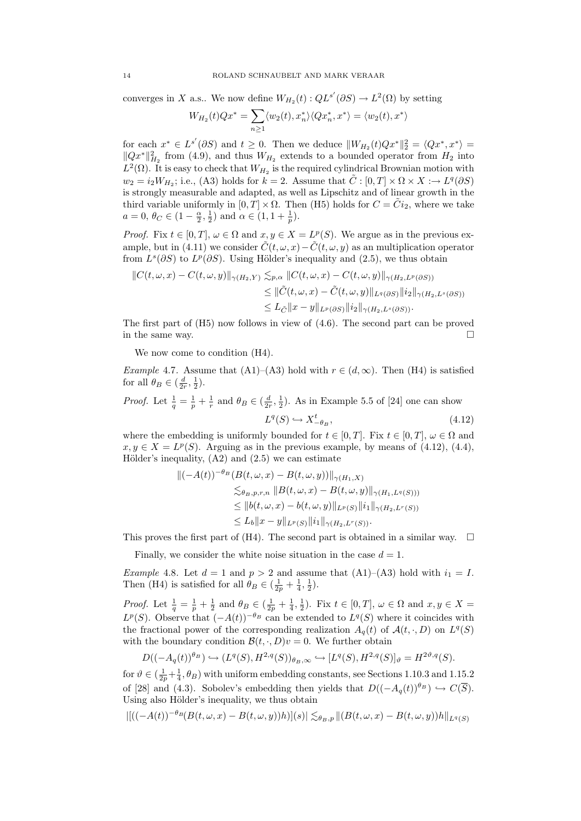converges in X a.s.. We now define  $W_{H_2}(t)$  :  $QL^{s'}(\partial S) \to L^2(\Omega)$  by setting

$$
W_{H_2}(t)Qx^* = \sum_{n\geq 1}\langle w_2(t),x_n^*\rangle\langle Qx_n^*,x^*\rangle = \langle w_2(t),x^*\rangle
$$

for each  $x^* \in L^{s'}(\partial S)$  and  $t \geq 0$ . Then we deduce  $||W_{H_2}(t)Qx^*||_2^2 = \langle Qx^*, x^* \rangle =$  $||Qx^*||_{H_2}^2$  from (4.9), and thus  $W_{H_2}$  extends to a bounded operator from  $H_2$  into  $L^2(\Omega)$ . It is easy to check that  $W_{H_2}$  is the required cylindrical Brownian motion with  $w_2 = i_2 W_{H_2}$ ; i.e., (A3) holds for  $k = 2$ . Assume that  $\tilde{C} : [0, T] \times \Omega \times X \longrightarrow L^q(\partial S)$ is strongly measurable and adapted, as well as Lipschitz and of linear growth in the third variable uniformly in  $[0, T] \times \Omega$ . Then (H5) holds for  $C = \tilde{C}i_2$ , where we take  $a = 0, \, \theta_C \in (1 - \frac{\alpha}{2}, \frac{1}{2}) \text{ and } \alpha \in (1, 1 + \frac{1}{p}).$ 

*Proof.* Fix  $t \in [0, T]$ ,  $\omega \in \Omega$  and  $x, y \in X = L^p(S)$ . We argue as in the previous example, but in (4.11) we consider  $\tilde{C}(t, \omega, x) - \tilde{C}(t, \omega, y)$  as an multiplication operator from  $L^s(\partial S)$  to  $L^p(\partial S)$ . Using Hölder's inequality and (2.5), we thus obtain

$$
||C(t,\omega,x) - C(t,\omega,y)||_{\gamma(H_2,Y)} \lesssim_{p,\alpha} ||C(t,\omega,x) - C(t,\omega,y)||_{\gamma(H_2,L^p(\partial S))}
$$
  
\n
$$
\leq ||\tilde{C}(t,\omega,x) - \tilde{C}(t,\omega,y)||_{L^q(\partial S)} ||i_2||_{\gamma(H_2,L^s(\partial S))}
$$
  
\n
$$
\leq L_{\tilde{C}} ||x - y||_{L^p(\partial S)} ||i_2||_{\gamma(H_2,L^s(\partial S))}.
$$

The first part of (H5) now follows in view of (4.6). The second part can be proved in the same way.  $\Box$ 

We now come to condition  $(H4)$ .

Example 4.7. Assume that (A1)–(A3) hold with  $r \in (d, \infty)$ . Then (H4) is satisfied for all  $\theta_B \in (\frac{d}{2r}, \frac{1}{2})$ .

*Proof.* Let  $\frac{1}{q} = \frac{1}{p} + \frac{1}{r}$  and  $\theta_B \in (\frac{d}{2r}, \frac{1}{2})$ . As in Example 5.5 of [24] one can show

$$
L^q(S) \hookrightarrow X^t_{-\theta_B},\tag{4.12}
$$

where the embedding is uniformly bounded for  $t \in [0, T]$ . Fix  $t \in [0, T]$ ,  $\omega \in \Omega$  and  $x, y \in X = L^p(S)$ . Arguing as in the previous example, by means of (4.12), (4.4), Hölder's inequality,  $(A2)$  and  $(2.5)$  we can estimate

$$
\|(-A(t))^{-\theta_B}(B(t,\omega,x) - B(t,\omega,y))\|_{\gamma(H_1,X)}\leq_{\theta_B,p,r,n} \|B(t,\omega,x) - B(t,\omega,y)\|_{\gamma(H_1,L^q(S)))}\leq \|b(t,\omega,x) - b(t,\omega,y)\|_{L^p(S)}\|i_1\|_{\gamma(H_2,L^r(S))}\leq L_b\|x-y\|_{L^p(S)}\|i_1\|_{\gamma(H_2,L^r(S))}.
$$

This proves the first part of (H4). The second part is obtained in a similar way.  $\Box$ 

Finally, we consider the white noise situation in the case  $d = 1$ .

Example 4.8. Let  $d = 1$  and  $p > 2$  and assume that  $(A1)$ – $(A3)$  hold with  $i_1 = I$ . Then (H4) is satisfied for all  $\theta_B \in (\frac{1}{2p} + \frac{1}{4}, \frac{1}{2})$ .

*Proof.* Let  $\frac{1}{q} = \frac{1}{p} + \frac{1}{2}$  and  $\theta_B \in (\frac{1}{2p} + \frac{1}{4}, \frac{1}{2})$ . Fix  $t \in [0, T]$ ,  $\omega \in \Omega$  and  $x, y \in X =$  $L^p(S)$ . Observe that  $(-A(t))^{-\theta_B}$  can be extended to  $L^q(S)$  where it coincides with the fractional power of the corresponding realization  $A_q(t)$  of  $\mathcal{A}(t, \cdot, D)$  on  $L^q(S)$ with the boundary condition  $\mathcal{B}(t, \cdot, D)v = 0$ . We further obtain

$$
D((-A_q(t))^{\theta_B}) \hookrightarrow (L^q(S), H^{2,q}(S))_{\theta_B,\infty} \hookrightarrow [L^q(S), H^{2,q}(S)]_{\vartheta} = H^{2\vartheta,q}(S).
$$

for  $\vartheta \in (\frac{1}{2p} + \frac{1}{4}, \theta_B)$  with uniform embedding constants, see Sections 1.10.3 and 1.15.2 of [28] and (4.3). Sobolev's embedding then yields that  $D((-A<sub>a</sub>(t))<sup>\theta<sub>B</sub></sup>) \hookrightarrow C(\overline{S})$ . Using also Hölder's inequality, we thus obtain

$$
| [((-A(t))^{-\theta_B}(B(t,\omega,x)-B(t,\omega,y))h)](s)| \lesssim_{\theta_B,p} | (B(t,\omega,x)-B(t,\omega,y))h \|_{L^q(S)}
$$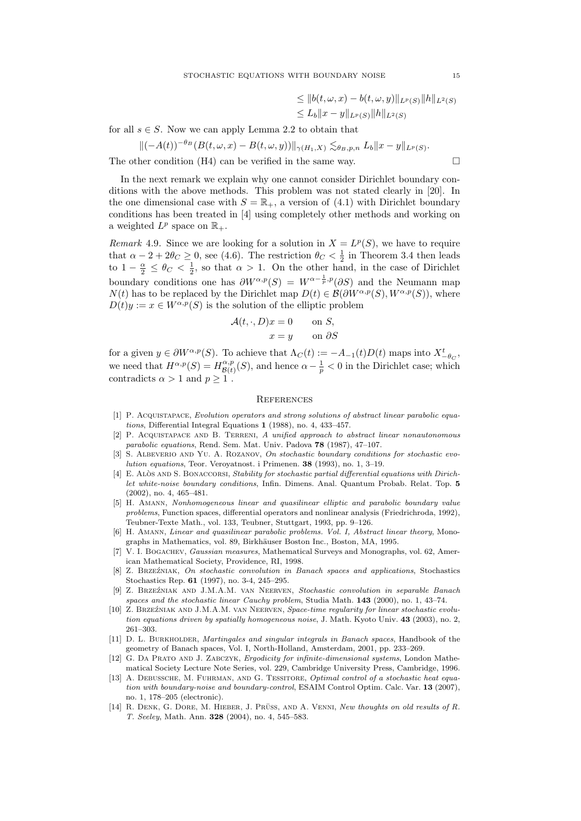$$
\leq ||b(t, \omega, x) - b(t, \omega, y)||_{L^p(S)} ||h||_{L^2(S)}
$$
  

$$
\leq L_b ||x - y||_{L^p(S)} ||h||_{L^2(S)}
$$

for all  $s \in S$ . Now we can apply Lemma 2.2 to obtain that

$$
\|(-A(t))^{-\theta_B}(B(t,\omega,x)-B(t,\omega,y))\|_{\gamma(H_1,X)} \lesssim_{\theta_B,p,n} L_b \|x-y\|_{L^p(S)}.
$$

The other condition  $(H4)$  can be verified in the same way.

In the next remark we explain why one cannot consider Dirichlet boundary conditions with the above methods. This problem was not stated clearly in [20]. In the one dimensional case with  $S = \mathbb{R}_+$ , a version of (4.1) with Dirichlet boundary conditions has been treated in [4] using completely other methods and working on a weighted  $L^p$  space on  $\mathbb{R}_+$ .

Remark 4.9. Since we are looking for a solution in  $X = L^p(S)$ , we have to require that  $\alpha - 2 + 2\theta_C \ge 0$ , see (4.6). The restriction  $\theta_C < \frac{1}{2}$  in Theorem 3.4 then leads to  $1 - \frac{\alpha}{2} \leq \theta_C < \frac{1}{2}$ , so that  $\alpha > 1$ . On the other hand, in the case of Dirichlet boundary conditions one has  $\partial W^{\alpha,p}(S) = W^{\alpha-\frac{1}{p},p}(\partial S)$  and the Neumann map  $N(t)$  has to be replaced by the Dirichlet map  $D(t) \in \mathcal{B}(\partial W^{\alpha,p}(S), W^{\alpha,p}(S))$ , where  $D(t)y := x \in W^{\alpha,p}(S)$  is the solution of the elliptic problem

$$
\mathcal{A}(t, \cdot, D)x = 0 \quad \text{on } S,
$$
  

$$
x = y \quad \text{on } \partial S
$$

for a given  $y \in \partial W^{\alpha, p}(S)$ . To achieve that  $\Lambda_C(t) := -A_{-1}(t)D(t)$  maps into  $X_{-\theta_C}^t$ , we need that  $H^{\alpha,p}(S) = H^{\alpha,p}_{\mathcal{B}(\alpha)}$  $\frac{\partial^{\alpha,p}}{\partial^{\beta}(t)}(S)$ , and hence  $\alpha - \frac{1}{p} < 0$  in the Dirichlet case; which contradicts  $\alpha > 1$  and  $p \geq 1$ .

# **REFERENCES**

- [1] P. Acquistapace, Evolution operators and strong solutions of abstract linear parabolic equations, Differential Integral Equations 1 (1988), no. 4, 433–457.
- [2] P. Acquistapace and B. Terreni, A unified approach to abstract linear nonautonomous parabolic equations, Rend. Sem. Mat. Univ. Padova 78 (1987), 47–107.
- S. ALBEVERIO AND YU. A. ROZANOV, On stochastic boundary conditions for stochastic evolution equations, Teor. Veroyatnost. i Primenen. 38 (1993), no. 1, 3–19.
- [4] E. ALÒS AND S. BONACCORSI, Stability for stochastic partial differential equations with Dirichlet white-noise boundary conditions, Infin. Dimens. Anal. Quantum Probab. Relat. Top. 5 (2002), no. 4, 465–481.
- [5] H. Amann, Nonhomogeneous linear and quasilinear elliptic and parabolic boundary value problems, Function spaces, differential operators and nonlinear analysis (Friedrichroda, 1992), Teubner-Texte Math., vol. 133, Teubner, Stuttgart, 1993, pp. 9–126.
- [6] H. Amann, Linear and quasilinear parabolic problems. Vol. I, Abstract linear theory, Monographs in Mathematics, vol. 89, Birkhäuser Boston Inc., Boston, MA, 1995.
- V. I. Bogachev, Gaussian measures, Mathematical Surveys and Monographs, vol. 62, American Mathematical Society, Providence, RI, 1998.
- [8] Z. BRZEŹNIAK, On stochastic convolution in Banach spaces and applications, Stochastics Stochastics Rep. 61 (1997), no. 3-4, 245–295.
- [9] Z. Brze´zniak and J.M.A.M. van Neerven, Stochastic convolution in separable Banach spaces and the stochastic linear Cauchy problem, Studia Math. 143 (2000), no. 1, 43–74.
- [10] Z. BRZEŹNIAK AND J.M.A.M. VAN NEERVEN, Space-time regularity for linear stochastic evolution equations driven by spatially homogeneous noise, J. Math. Kyoto Univ. 43 (2003), no. 2, 261–303.
- [11] D. L. BURKHOLDER, Martingales and singular integrals in Banach spaces, Handbook of the geometry of Banach spaces, Vol. I, North-Holland, Amsterdam, 2001, pp. 233–269.
- [12] G. DA PRATO AND J. ZABCZYK, Ergodicity for infinite-dimensional systems, London Mathematical Society Lecture Note Series, vol. 229, Cambridge University Press, Cambridge, 1996.
- [13] A. DEBUSSCHE, M. FUHRMAN, AND G. TESSITORE, *Optimal control of a stochastic heat equa*tion with boundary-noise and boundary-control, ESAIM Control Optim. Calc. Var. 13 (2007), no. 1, 178–205 (electronic).
- [14] R. DENK, G. DORE, M. HIEBER, J. PRÜSS, AND A. VENNI, New thoughts on old results of R. T. Seeley, Math. Ann. 328 (2004), no. 4, 545–583.